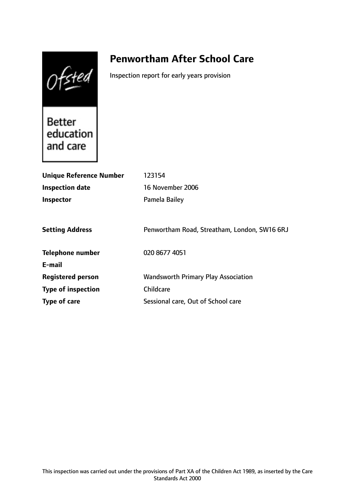Ofsted

# **Penwortham After School Care**

Inspection report for early years provision

Better education and care

| <b>Unique Reference Number</b> | 123154                                       |
|--------------------------------|----------------------------------------------|
| <b>Inspection date</b>         | 16 November 2006                             |
| <b>Inspector</b>               | Pamela Bailey                                |
|                                |                                              |
| <b>Setting Address</b>         | Penwortham Road, Streatham, London, SW16 6RJ |
| Telephone number               | 020 8677 4051                                |
| E-mail                         |                                              |
| <b>Registered person</b>       | <b>Wandsworth Primary Play Association</b>   |
| <b>Type of inspection</b>      | Childcare                                    |
| Type of care                   | Sessional care, Out of School care           |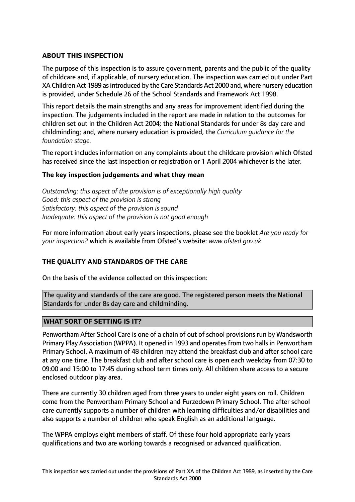# **ABOUT THIS INSPECTION**

The purpose of this inspection is to assure government, parents and the public of the quality of childcare and, if applicable, of nursery education. The inspection was carried out under Part XA Children Act 1989 asintroduced by the Care Standards Act 2000 and, where nursery education is provided, under Schedule 26 of the School Standards and Framework Act 1998.

This report details the main strengths and any areas for improvement identified during the inspection. The judgements included in the report are made in relation to the outcomes for children set out in the Children Act 2004; the National Standards for under 8s day care and childminding; and, where nursery education is provided, the *Curriculum guidance for the foundation stage.*

The report includes information on any complaints about the childcare provision which Ofsted has received since the last inspection or registration or 1 April 2004 whichever is the later.

# **The key inspection judgements and what they mean**

*Outstanding: this aspect of the provision is of exceptionally high quality Good: this aspect of the provision is strong Satisfactory: this aspect of the provision is sound Inadequate: this aspect of the provision is not good enough*

For more information about early years inspections, please see the booklet *Are you ready for your inspection?* which is available from Ofsted's website: *www.ofsted.gov.uk.*

# **THE QUALITY AND STANDARDS OF THE CARE**

On the basis of the evidence collected on this inspection:

The quality and standards of the care are good. The registered person meets the National Standards for under 8s day care and childminding.

# **WHAT SORT OF SETTING IS IT?**

Penwortham After School Care is one of a chain of out of school provisions run by Wandsworth Primary Play Association (WPPA). It opened in 1993 and operates from two halls in Penwortham Primary School. A maximum of 48 children may attend the breakfast club and after school care at any one time. The breakfast club and after school care is open each weekday from 07:30 to 09:00 and 15:00 to 17:45 during school term times only. All children share access to a secure enclosed outdoor play area.

There are currently 30 children aged from three years to under eight years on roll. Children come from the Penwortham Primary School and Furzedown Primary School. The after school care currently supports a number of children with learning difficulties and/or disabilities and also supports a number of children who speak English as an additional language.

The WPPA employs eight members of staff. Of these four hold appropriate early years qualifications and two are working towards a recognised or advanced qualification.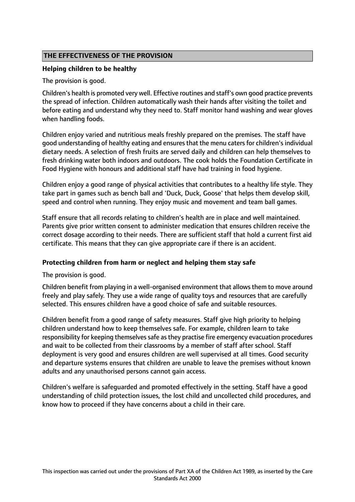# **THE EFFECTIVENESS OF THE PROVISION**

#### **Helping children to be healthy**

The provision is good.

Children's health is promoted very well. Effective routines and staff's own good practice prevents the spread of infection. Children automatically wash their hands after visiting the toilet and before eating and understand why they need to. Staff monitor hand washing and wear gloves when handling foods.

Children enjoy varied and nutritious meals freshly prepared on the premises. The staff have good understanding of healthy eating and ensures that the menu caters for children's individual dietary needs. A selection of fresh fruits are served daily and children can help themselves to fresh drinking water both indoors and outdoors. The cook holds the Foundation Certificate in Food Hygiene with honours and additional staff have had training in food hygiene.

Children enjoy a good range of physical activities that contributes to a healthy life style. They take part in games such as bench ball and 'Duck, Duck, Goose' that helps them develop skill, speed and control when running. They enjoy music and movement and team ball games.

Staff ensure that all records relating to children's health are in place and well maintained. Parents give prior written consent to administer medication that ensures children receive the correct dosage according to their needs. There are sufficient staff that hold a current first aid certificate. This means that they can give appropriate care if there is an accident.

# **Protecting children from harm or neglect and helping them stay safe**

The provision is good.

Children benefit from playing in a well-organised environment that allows them to move around freely and play safely. They use a wide range of quality toys and resources that are carefully selected. This ensures children have a good choice of safe and suitable resources.

Children benefit from a good range of safety measures. Staff give high priority to helping children understand how to keep themselves safe. For example, children learn to take responsibility for keeping themselves safe as they practise fire emergency evacuation procedures and wait to be collected from their classrooms by a member of staff after school. Staff deployment is very good and ensures children are well supervised at all times. Good security and departure systems ensures that children are unable to leave the premises without known adults and any unauthorised persons cannot gain access.

Children's welfare is safeguarded and promoted effectively in the setting. Staff have a good understanding of child protection issues, the lost child and uncollected child procedures, and know how to proceed if they have concerns about a child in their care.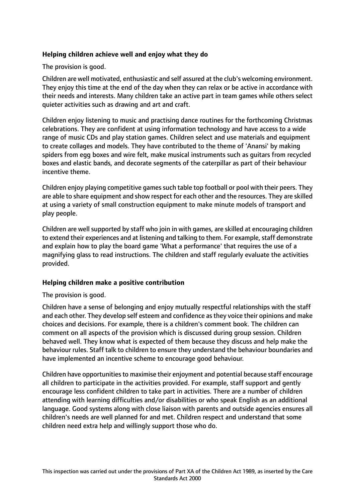# **Helping children achieve well and enjoy what they do**

The provision is good.

Children are well motivated, enthusiastic and self assured at the club's welcoming environment. They enjoy this time at the end of the day when they can relax or be active in accordance with their needs and interests. Many children take an active part in team games while others select quieter activities such as drawing and art and craft.

Children enjoy listening to music and practising dance routines for the forthcoming Christmas celebrations. They are confident at using information technology and have access to a wide range of music CDs and play station games. Children select and use materials and equipment to create collages and models. They have contributed to the theme of 'Anansi' by making spiders from egg boxes and wire felt, make musical instruments such as guitars from recycled boxes and elastic bands, and decorate segments of the caterpillar as part of their behaviour incentive theme.

Children enjoy playing competitive games such table top football or pool with their peers. They are able to share equipment and show respect for each other and the resources. They are skilled at using a variety of small construction equipment to make minute models of transport and play people.

Children are well supported by staff who join in with games, are skilled at encouraging children to extend their experiences and at listening and talking to them. For example, staff demonstrate and explain how to play the board game 'What a performance' that requires the use of a magnifying glass to read instructions. The children and staff regularly evaluate the activities provided.

# **Helping children make a positive contribution**

The provision is good.

Children have a sense of belonging and enjoy mutually respectful relationships with the staff and each other. They develop self esteem and confidence as they voice their opinions and make choices and decisions. For example, there is a children's comment book. The children can comment on all aspects of the provision which is discussed during group session. Children behaved well. They know what is expected of them because they discuss and help make the behaviour rules. Staff talk to children to ensure they understand the behaviour boundaries and have implemented an incentive scheme to encourage good behaviour.

Children have opportunitiesto maximise their enjoyment and potential because staff encourage all children to participate in the activities provided. For example, staff support and gently encourage less confident children to take part in activities. There are a number of children attending with learning difficulties and/or disabilities or who speak English as an additional language. Good systems along with close liaison with parents and outside agencies ensures all children's needs are well planned for and met. Children respect and understand that some children need extra help and willingly support those who do.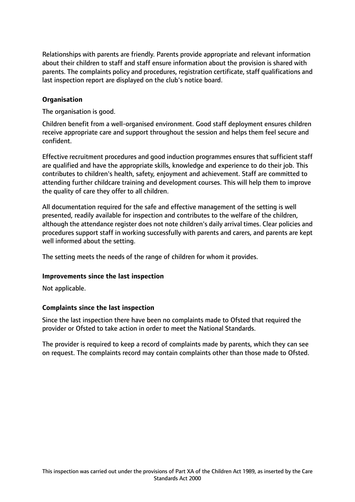Relationships with parents are friendly. Parents provide appropriate and relevant information about their children to staff and staff ensure information about the provision is shared with parents. The complaints policy and procedures, registration certificate, staff qualifications and last inspection report are displayed on the club's notice board.

# **Organisation**

The organisation is good.

Children benefit from a well-organised environment. Good staff deployment ensures children receive appropriate care and support throughout the session and helps them feel secure and confident.

Effective recruitment procedures and good induction programmes ensures that sufficient staff are qualified and have the appropriate skills, knowledge and experience to do their job. This contributes to children's health, safety, enjoyment and achievement. Staff are committed to attending further childcare training and development courses. This will help them to improve the quality of care they offer to all children.

All documentation required for the safe and effective management of the setting is well presented, readily available for inspection and contributes to the welfare of the children, although the attendance register does not note children's daily arrival times. Clear policies and procedures support staff in working successfully with parents and carers, and parents are kept well informed about the setting.

The setting meets the needs of the range of children for whom it provides.

#### **Improvements since the last inspection**

Not applicable.

# **Complaints since the last inspection**

Since the last inspection there have been no complaints made to Ofsted that required the provider or Ofsted to take action in order to meet the National Standards.

The provider is required to keep a record of complaints made by parents, which they can see on request. The complaints record may contain complaints other than those made to Ofsted.